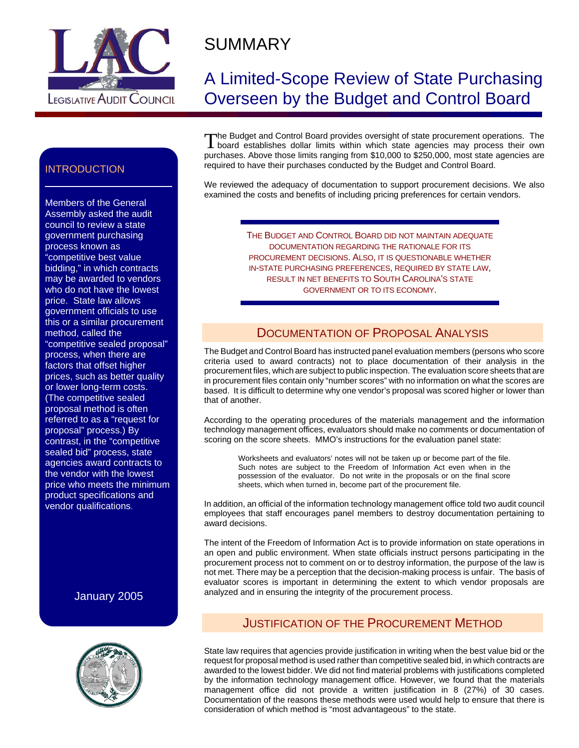

# SUMMARY

## A Limited-Scope Review of State Purchasing Overseen by the Budget and Control Board

The Budget and Control Board provides oversight of state procurement operations. The board establishes dollar limits within which state agencies may process their own purchases. Above those limits ranging from \$10,000 to \$250,000, most state agencies are required to have their purchases conducted by the Budget and Control Board.

We reviewed the adequacy of documentation to support procurement decisions. We also examined the costs and benefits of including pricing preferences for certain vendors.

> THE BUDGET AND CONTROL BOARD DID NOT MAINTAIN ADEQUATE DOCUMENTATION REGARDING THE RATIONALE FOR ITS PROCUREMENT DECISIONS. ALSO, IT IS QUESTIONABLE WHETHER IN-STATE PURCHASING PREFERENCES, REQUIRED BY STATE LAW, RESULT IN NET BENEFITS TO SOUTH CAROLINA'S STATE GOVERNMENT OR TO ITS ECONOMY.

#### DOCUMENTATION OF PROPOSAL ANALYSIS

The Budget and Control Board has instructed panel evaluation members (persons who score criteria used to award contracts) not to place documentation of their analysis in the procurement files, which are subject to public inspection. The evaluation score sheets that are in procurement files contain only "number scores" with no information on what the scores are based. It is difficult to determine why one vendor's proposal was scored higher or lower than that of another.

According to the operating procedures of the materials management and the information technology management offices, evaluators should make no comments or documentation of scoring on the score sheets. MMO's instructions for the evaluation panel state:

Worksheets and evaluators' notes will not be taken up or become part of the file. Such notes are subject to the Freedom of Information Act even when in the possession of the evaluator. Do not write in the proposals or on the final score sheets, which when turned in, become part of the procurement file.

In addition, an official of the information technology management office told two audit council employees that staff encourages panel members to destroy documentation pertaining to award decisions.

The intent of the Freedom of Information Act is to provide information on state operations in an open and public environment. When state officials instruct persons participating in the procurement process not to comment on or to destroy information, the purpose of the law is not met. There may be a perception that the decision-making process is unfair. The basis of evaluator scores is important in determining the extent to which vendor proposals are analyzed and in ensuring the integrity of the procurement process.

#### JUSTIFICATION OF THE PROCUREMENT METHOD

State law requires that agencies provide justification in writing when the best value bid or the request for proposal method is used rather than competitive sealed bid, in which contracts are awarded to the lowest bidder. We did not find material problems with justifications completed by the information technology management office. However, we found that the materials management office did not provide a written justification in 8 (27%) of 30 cases. Documentation of the reasons these methods were used would help to ensure that there is consideration of which method is "most advantageous" to the state.

#### **INTRODUCTION**

Members of the General Assembly asked the audit council to review a state government purchasing process known as "competitive best value bidding," in which contracts may be awarded to vendors who do not have the lowest price. State law allows government officials to use this or a similar procurement method, called the "competitive sealed proposal" process, when there are factors that offset higher prices, such as better quality or lower long-term costs. (The competitive sealed proposal method is often referred to as a "request for proposal" process.) By contrast, in the "competitive sealed bid" process, state agencies award contracts to the vendor with the lowest price who meets the minimum product specifications and vendor qualifications.

January 2005